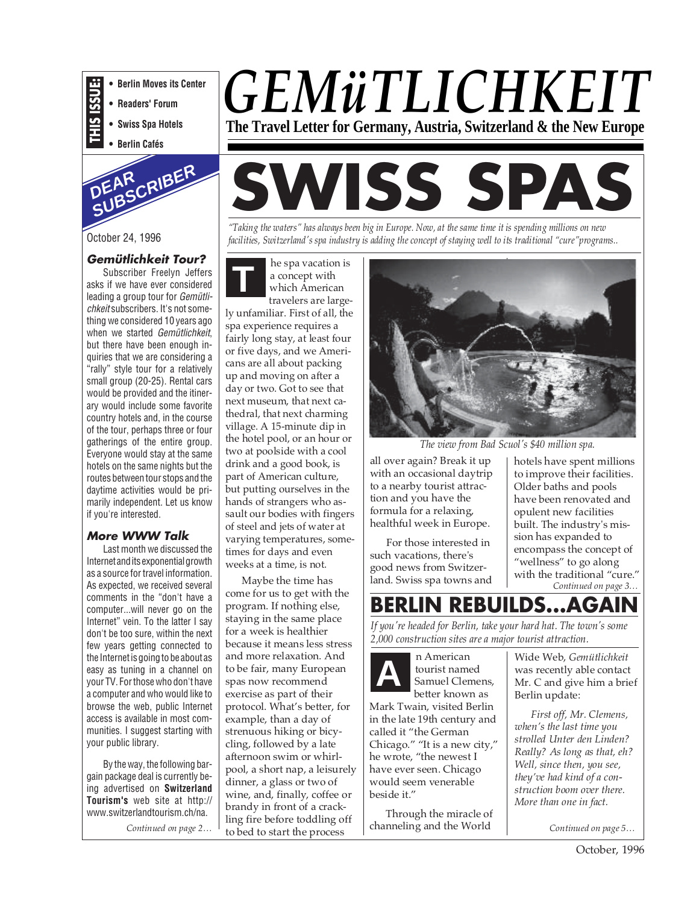- **THIS ISSUE: • Berlin Moves its Center**
	- **Readers' Forum**
- **Swiss Spa Hotels**
- **Berlin Cafés**





#### **Gemütlichkeit Tour?**

Subscriber Freelyn Jeffers asks if we have ever considered leading a group tour for Gemütlichkeit subscribers. It's not something we considered 10 years ago when we started Gemütlichkeit, but there have been enough inquiries that we are considering a "rally" style tour for a relatively small group (20-25). Rental cars would be provided and the itinerary would include some favorite country hotels and, in the course of the tour, perhaps three or four gatherings of the entire group. Everyone would stay at the same hotels on the same nights but the routes between tour stops and the daytime activities would be primarily independent. Let us know if you're interested.

#### **More WWW Talk**

Last month we discussed the Internet and its exponential growth as a source for travel information. As expected, we received several comments in the "don't have a computer...will never go on the Internet" vein. To the latter I say don't be too sure, within the next few years getting connected to the Internet is going to be about as easy as tuning in a channel on your TV. For those who don't have a computer and who would like to browse the web, public Internet access is available in most communities. I suggest starting with your public library.

By the way, the following bargain package deal is currently being advertised on **Switzerland Tourism's** web site at http:// www.switzerlandtourism.ch/na.

*Continued on page 2…*

# *GEMüTLICHKEIT* **The Travel Letter for Germany, Austria, Switzerland & the New Europe**

# **SWISS SPAS**

*"Taking the waters" has always been big in Europe. Now, at the same time it is spending millions on new facilities, Switzerland's spa industry is adding the concept of staying well to its traditional "cure"programs..*

**T** he spa vacation is a concept with which American travelers are large-

ly unfamiliar. First of all, the spa experience requires a fairly long stay, at least four or five days, and we Americans are all about packing up and moving on after a day or two. Got to see that next museum, that next cathedral, that next charming village. A 15-minute dip in the hotel pool, or an hour or two at poolside with a cool drink and a good book, is part of American culture, but putting ourselves in the hands of strangers who assault our bodies with fingers of steel and jets of water at varying temperatures, sometimes for days and even weeks at a time, is not.

Maybe the time has come for us to get with the program. If nothing else, staying in the same place for a week is healthier because it means less stress and more relaxation. And to be fair, many European spas now recommend exercise as part of their protocol. What's better, for example, than a day of strenuous hiking or bicycling, followed by a late afternoon swim or whirlpool, a short nap, a leisurely dinner, a glass or two of wine, and, finally, coffee or brandy in front of a crackling fire before toddling off to bed to start the process



*The view from Bad Scuol's \$40 million spa.*

all over again? Break it up with an occasional daytrip to a nearby tourist attraction and you have the formula for a relaxing, healthful week in Europe.

For those interested in such vacations, there's good news from Switzerland. Swiss spa towns and hotels have spent millions to improve their facilities. Older baths and pools have been renovated and opulent new facilities built. The industry's mission has expanded to encompass the concept of "wellness" to go along with the traditional "cure." *Continued on page 3…*

## **BERLIN REBUILDS...AGA**

*If you're headed for Berlin, take your hard hat. The town's some 2,000 construction sites are a major tourist attraction.*

n American tourist named Samuel Clemens, better known as Mark Twain, visited Berlin in the late 19th century and called it "the German Chicago." "It is a new city," he wrote, "the newest I have ever seen. Chicago would seem venerable beside it." **A**

Through the miracle of channeling and the World

Wide Web, *Gemütlichkeit* was recently able contact Mr. C and give him a brief Berlin update:

*First off, Mr. Clemens, when's the last time you strolled Unter den Linden? Really? As long as that, eh? Well, since then, you see, they've had kind of a construction boom over there. More than one in fact.*

*Continued on page 5…*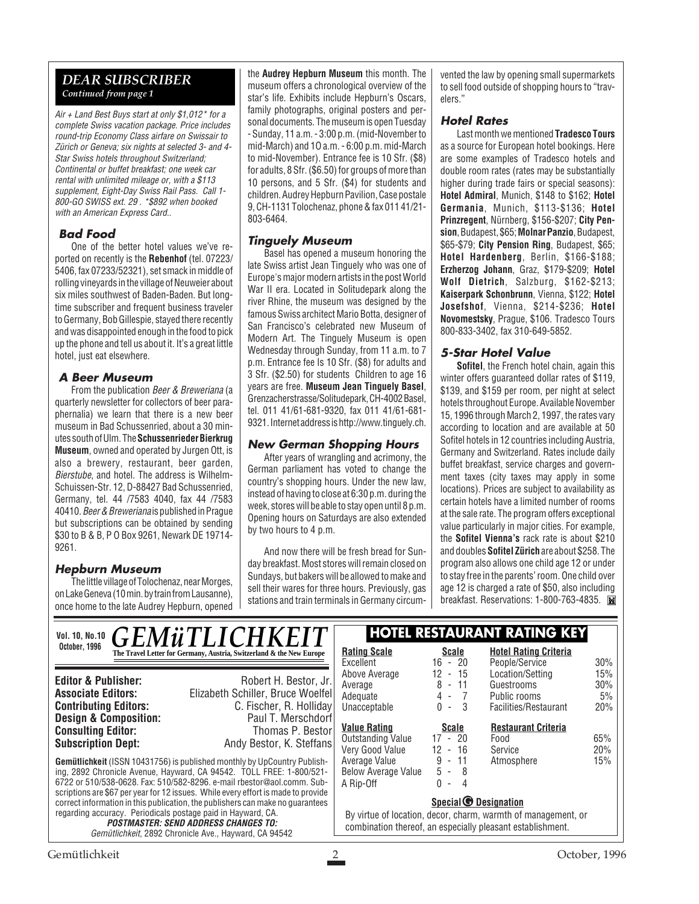#### *DEAR SUBSCRIBER Continued from page 1*

Air + Land Best Buys start at only \$1,012\* for a complete Swiss vacation package. Price includes round-trip Economy Class airfare on Swissair to Zürich or Geneva; six nights at selected 3- and 4- Star Swiss hotels throughout Switzerland; Continental or buffet breakfast; one week car rental with unlimited mileage or, with a \$113 supplement, Eight-Day Swiss Rail Pass. Call 1- 800-GO SWISS ext. 29 . \*\$892 when booked with an American Express Card..

#### **Bad Food**

One of the better hotel values we've reported on recently is the **Rebenhof** (tel. 07223/ 5406, fax 07233/52321), set smack in middle of rolling vineyards in the village of Neuweier about six miles southwest of Baden-Baden. But longtime subscriber and frequent business traveler to Germany, Bob Gillespie, stayed there recently and was disappointed enough in the food to pick up the phone and tell us about it. It's a great little hotel, just eat elsewhere.

#### **A Beer Museum**

From the publication Beer & Breweriana (a quarterly newsletter for collectors of beer paraphernalia) we learn that there is a new beer museum in Bad Schussenried, about a 30 minutes south of Ulm. The **Schussenrieder Bierkrug Museum**, owned and operated by Jurgen Ott, is also a brewery, restaurant, beer garden, Bierstube, and hotel. The address is Wilhelm-Schuissen-Str. 12, D-88427 Bad Schussenried, Germany, tel. 44 /7583 4040, fax 44 /7583 40410. Beer & Breweriana is published in Prague but subscriptions can be obtained by sending \$30 to B & B, P O Box 9261, Newark DE 19714- 9261.

#### **Hepburn Museum**

The little village of Tolochenaz, near Morges, on Lake Geneva (10 min. by train from Lausanne), once home to the late Audrey Hepburn, opened the **Audrey Hepburn Museum** this month. The museum offers a chronological overview of the star's life. Exhibits include Hepburn's Oscars, family photographs, original posters and personal documents. The museum is open Tuesday - Sunday, 11 a.m. - 3:00 p.m. (mid-November to mid-March) and 1O a.m. - 6:00 p.m. mid-March to mid-November). Entrance fee is 10 Sfr. (\$8) for adults, 8 Sfr. (\$6.50) for groups of more than 10 persons, and 5 Sfr. (\$4) for students and children. Audrey Hepburn Pavilion, Case postale 9, CH-1131 Tolochenaz, phone & fax 011 41/21- 803-6464.

#### **Tinguely Museum**

Basel has opened a museum honoring the late Swiss artist Jean Tinguely who was one of Europe's major modern artists in the post World War II era. Located in Solitudepark along the river Rhine, the museum was designed by the famous Swiss architect Mario Botta, designer of San Francisco's celebrated new Museum of Modern Art. The Tinguely Museum is open Wednesday through Sunday, from 11 a.m. to 7 p.m. Entrance fee Is 10 Sfr. (\$8) for adults and 3 Sfr. (\$2.50) for students Children to age 16 years are free. **Museum Jean Tinguely Basel**, Grenzacherstrasse/Solitudepark, CH-4002 Basel, tel. 011 41/61-681-9320, fax 011 41/61-681- 9321. Internet address is http://www.tinguely.ch.

#### **New German Shopping Hours**

After years of wrangling and acrimony, the German parliament has voted to change the country's shopping hours. Under the new law, instead of having to close at 6:30 p.m. during the week, stores will be able to stay open until 8 p.m. Opening hours on Saturdays are also extended by two hours to 4 p.m.

And now there will be fresh bread for Sunday breakfast. Most stores will remain closed on Sundays, but bakers will be allowed to make and sell their wares for three hours. Previously, gas stations and train terminals in Germany circum-

vented the law by opening small supermarkets to sell food outside of shopping hours to "travelers."

#### **Hotel Rates**

Last month we mentioned **Tradesco Tours** as a source for European hotel bookings. Here are some examples of Tradesco hotels and double room rates (rates may be substantially higher during trade fairs or special seasons): **Hotel Admiral**, Munich, \$148 to \$162; **Hotel Germania**, Munich, \$113-\$136; **Hotel Prinzregent**, Nürnberg, \$156-\$207; **City Pension**, Budapest, \$65; **Molnar Panzio**, Budapest, \$65-\$79; **City Pension Ring**, Budapest, \$65; **Hotel Hardenberg**, Berlin, \$166-\$188; **Erzherzog Johann**, Graz, \$179-\$209; **Hotel Wolf Dietrich**, Salzburg, \$162-\$213; **Kaiserpark Schonbrunn**, Vienna, \$122; **Hotel Josefshof**, Vienna, \$214-\$236; **Hotel Novomestsky**, Prague, \$106. Tradesco Tours 800-833-3402, fax 310-649-5852.

#### **5-Star Hotel Value**

**Sofitel**, the French hotel chain, again this winter offers guaranteed dollar rates of \$119, \$139, and \$159 per room, per night at select hotels throughout Europe. Available November 15, 1996 through March 2, 1997, the rates vary according to location and are available at 50 Sofitel hotels in 12 countries including Austria, Germany and Switzerland. Rates include daily buffet breakfast, service charges and government taxes (city taxes may apply in some locations). Prices are subject to availability as certain hotels have a limited number of rooms at the sale rate. The program offers exceptional value particularly in major cities. For example, the **Sofitel Vienna's** rack rate is about \$210 and doubles **Sofitel Zürich** are about \$258. The program also allows one child age 12 or under to stay free in the parents' room. One child over age 12 is charged a rate of \$50, also including breakfast. Reservations: 1-800-763-4835.

**Gemütlichkeit** (ISSN 10431756) is published monthly by UpCountry Publishing, 2892 Chronicle Avenue, Hayward, CA 94542. TOLL FREE: 1-800/521- 6722 or 510/538-0628. Fax: 510/582-8296. e-mail rbestor@aol.comm. Subscriptions are \$67 per year for 12 issues. While every effort is made to provide correct information in this publication, the publishers can make no guarantees regarding accuracy. Periodicals postage paid in Hayward, CA. **POSTMASTER: SEND ADDRESS CHANGES TO:** Gemütlichkeit, 2892 Chronicle Ave., Hayward, CA 94542 **Editor & Publisher:** Robert H. Bestor, Jr. **Associate Editors:** Elizabeth Schiller, Bruce Woelfel **Contributing Editors:** C. Fischer, R. Holliday<br>**Design & Composition:** Paul T. Merschdorf **Design & Composition:** Paul T. Merschdorf<br> **Consulting Editor:** Thomas P. Bestor **Consulting Editor: Subscription Dept:** Andy Bestor, K. Steffans Vol. 10, No.10 **CFMiTIICHKFIT HOTEL RESTAURANT RATING KEY October, 1996 Rating Scale**<br> **The Travel Letter for Germany, Austria, Switzerland & the New Europe Rating Scale Scale** Excellent 16 - 20<br>Above Average 12 - 15 Above Average Average 8 - 11<br>Adequate 8 - 11 Adequate 4 - 7<br>Unacceptable 0 - 3 Unacceptable **Hotel Rating Criteria** People/Service 30% Location/Setting 15%<br>Guestrooms 30% Guestrooms Public rooms 5% Facilities/Restaurant 20% **Special Designation G** By virtue of location, decor, charm, warmth of management, or combination thereof, an especially pleasant establishment. **<u>Value Rating</u>**<br> **Cutstanding Value** 17 - 20 Outstanding Value 17 - 20<br>Verv Good Value 12 - 16 Very Good Value 12 - 16 Average Value 9 - 11 Below Average Value 5 - 8<br>A Rip-Off 6 - 4  $A$  Rip-Off **Restaurant Criteria** Food 65% Service 20%<br>Atmosphere 15% Atmosphere *GEMüTLICHKEI*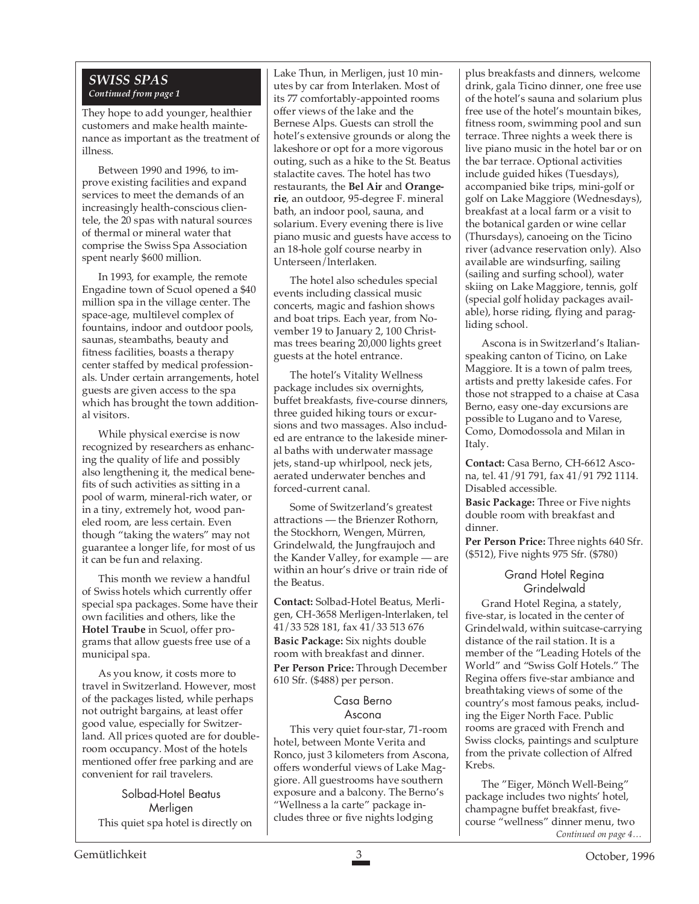#### *SWISS SPAS Continued from page 1*

They hope to add younger, healthier customers and make health maintenance as important as the treatment of illness.

Between 1990 and 1996, to improve existing facilities and expand services to meet the demands of an increasingly health-conscious clientele, the 20 spas with natural sources of thermal or mineral water that comprise the Swiss Spa Association spent nearly \$600 million.

In 1993, for example, the remote Engadine town of Scuol opened a \$40 million spa in the village center. The space-age, multilevel complex of fountains, indoor and outdoor pools, saunas, steambaths, beauty and fitness facilities, boasts a therapy center staffed by medical professionals. Under certain arrangements, hotel guests are given access to the spa which has brought the town additional visitors.

While physical exercise is now recognized by researchers as enhancing the quality of life and possibly also lengthening it, the medical benefits of such activities as sitting in a pool of warm, mineral-rich water, or in a tiny, extremely hot, wood paneled room, are less certain. Even though "taking the waters" may not guarantee a longer life, for most of us it can be fun and relaxing.

This month we review a handful of Swiss hotels which currently offer special spa packages. Some have their own facilities and others, like the **Hotel Traube** in Scuol, offer programs that allow guests free use of a municipal spa.

As you know, it costs more to travel in Switzerland. However, most of the packages listed, while perhaps not outright bargains, at least offer good value, especially for Switzerland. All prices quoted are for doubleroom occupancy. Most of the hotels mentioned offer free parking and are convenient for rail travelers.

Solbad-Hotel Beatus Merligen This quiet spa hotel is directly on Lake Thun, in Merligen, just 10 minutes by car from Interlaken. Most of its 77 comfortably-appointed rooms offer views of the lake and the Bernese Alps. Guests can stroll the hotel's extensive grounds or along the lakeshore or opt for a more vigorous outing, such as a hike to the St. Beatus stalactite caves. The hotel has two restaurants, the **Bel Air** and **Orangerie**, an outdoor, 95-degree F. mineral bath, an indoor pool, sauna, and solarium. Every evening there is live piano music and guests have access to an 18-hole golf course nearby in Unterseen/lnterlaken.

The hotel also schedules special events including classical music concerts, magic and fashion shows and boat trips. Each year, from November 19 to January 2, 100 Christmas trees bearing 20,000 lights greet guests at the hotel entrance.

The hotel's Vitality Wellness package includes six overnights, buffet breakfasts, five-course dinners, three guided hiking tours or excursions and two massages. Also included are entrance to the lakeside mineral baths with underwater massage jets, stand-up whirlpool, neck jets, aerated underwater benches and forced-current canal.

Some of Switzerland's greatest attractions — the Brienzer Rothorn, the Stockhorn, Wengen, Mürren, Grindelwald, the Jungfraujoch and the Kander Valley, for example — are within an hour's drive or train ride of the Beatus.

**Contact:** Solbad-Hotel Beatus, Merligen, CH-3658 Merligen-lnterlaken, tel 41/33 528 181, fax 41/33 513 676 **Basic Package:** Six nights double room with breakfast and dinner. **Per Person Price:** Through December 610 Sfr. (\$488) per person.

#### Casa Berno Ascona

This very quiet four-star, 71-room hotel, between Monte Verita and Ronco, just 3 kilometers from Ascona, offers wonderful views of Lake Maggiore. All guestrooms have southern exposure and a balcony. The Berno's "Wellness a la carte" package includes three or five nights lodging

plus breakfasts and dinners, welcome drink, gala Ticino dinner, one free use of the hotel's sauna and solarium plus free use of the hotel's mountain bikes, fitness room, swimming pool and sun terrace. Three nights a week there is live piano music in the hotel bar or on the bar terrace. Optional activities include guided hikes (Tuesdays), accompanied bike trips, mini-golf or golf on Lake Maggiore (Wednesdays), breakfast at a local farm or a visit to the botanical garden or wine cellar (Thursdays), canoeing on the Ticino river (advance reservation only). Also available are windsurfing, sailing (sailing and surfing school), water skiing on Lake Maggiore, tennis, golf (special golf holiday packages available), horse riding, flying and paragliding school.

Ascona is in Switzerland's Italianspeaking canton of Ticino, on Lake Maggiore. It is a town of palm trees, artists and pretty lakeside cafes. For those not strapped to a chaise at Casa Berno, easy one-day excursions are possible to Lugano and to Varese, Como, Domodossola and Milan in Italy.

**Contact:** Casa Berno, CH-6612 Ascona, tel. 41/91 791, fax 41/91 792 1114. Disabled accessible.

**Basic Package:** Three or Five nights double room with breakfast and dinner.

**Per Person Price:** Three nights 640 Sfr. (\$512), Five nights 975 Sfr. (\$780)

#### Grand Hotel Regina **Grindelwald**

Grand Hotel Regina, a stately, five-star, is located in the center of Grindelwald, within suitcase-carrying distance of the rail station. It is a member of the "Leading Hotels of the World" and "Swiss Golf Hotels." The Regina offers five-star ambiance and breathtaking views of some of the country's most famous peaks, including the Eiger North Face. Public rooms are graced with French and Swiss clocks, paintings and sculpture from the private collection of Alfred Krebs.

*Continued on page 4…* The "Eiger, Mönch Well-Being" package includes two nights' hotel, champagne buffet breakfast, fivecourse "wellness" dinner menu, two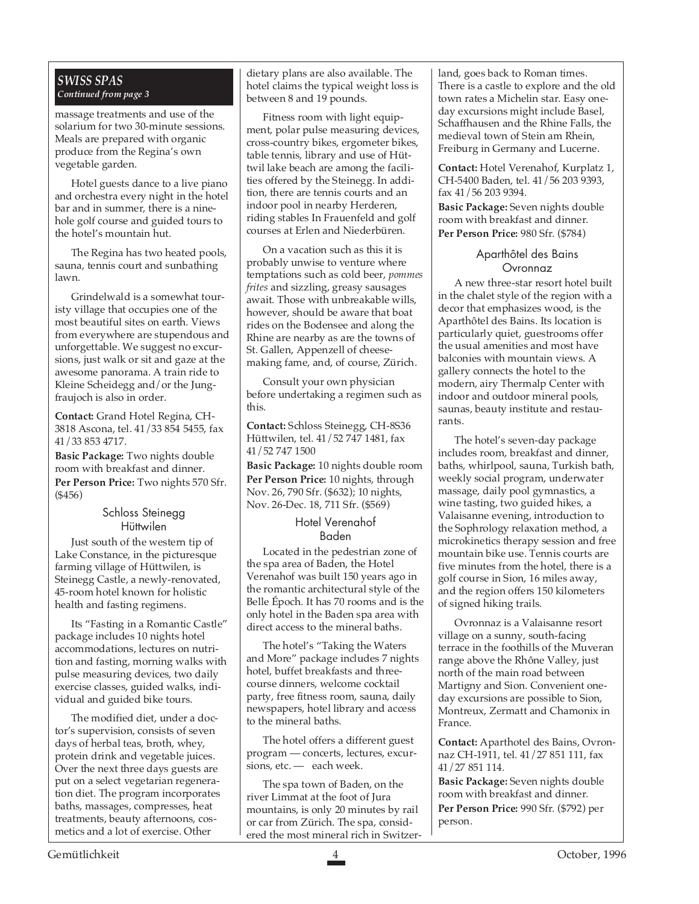#### *SWISS SPAS Continued from page 3*

massage treatments and use of the solarium for two 30-minute sessions. Meals are prepared with organic produce from the Regina's own vegetable garden.

Hotel guests dance to a live piano and orchestra every night in the hotel bar and in summer, there is a ninehole golf course and guided tours to the hotel's mountain hut.

The Regina has two heated pools, sauna, tennis court and sunbathing lawn.

Grindelwald is a somewhat touristy village that occupies one of the most beautiful sites on earth. Views from everywhere are stupendous and unforgettable. We suggest no excursions, just walk or sit and gaze at the awesome panorama. A train ride to Kleine Scheidegg and/or the Jungfraujoch is also in order.

**Contact:** Grand Hotel Regina, CH-3818 Ascona, tel. 41/33 854 5455, fax 41/33 853 4717.

**Basic Package:** Two nights double room with breakfast and dinner. **Per Person Price:** Two nights 570 Sfr. (\$456)

#### Schloss Steinegg **Hüttwilen**

Just south of the western tip of Lake Constance, in the picturesque farming village of Hüttwilen, is Steinegg Castle, a newly-renovated, 45-room hotel known for holistic health and fasting regimens.

Its "Fasting in a Romantic Castle" package includes 10 nights hotel accommodations, lectures on nutrition and fasting, morning walks with pulse measuring devices, two daily exercise classes, guided walks, individual and guided bike tours.

The modified diet, under a doctor's supervision, consists of seven days of herbal teas, broth, whey, protein drink and vegetable juices. Over the next three days guests are put on a select vegetarian regeneration diet. The program incorporates baths, massages, compresses, heat treatments, beauty afternoons, cosmetics and a lot of exercise. Other

dietary plans are also available. The hotel claims the typical weight loss is between 8 and 19 pounds.

Fitness room with light equipment, polar pulse measuring devices, cross-country bikes, ergometer bikes, table tennis, library and use of Hüttwil lake beach are among the facilities offered by the Steinegg. In addition, there are tennis courts and an indoor pool in nearby Herderen, riding stables In Frauenfeld and golf courses at Erlen and Niederbüren.

On a vacation such as this it is probably unwise to venture where temptations such as cold beer, *pommes frites* and sizzling, greasy sausages await. Those with unbreakable wills, however, should be aware that boat rides on the Bodensee and along the Rhine are nearby as are the towns of St. Gallen, Appenzell of cheesemaking fame, and, of course, Zürich.

Consult your own physician before undertaking a regimen such as this.

**Contact:** Schloss Steinegg, CH-8S36 Hüttwilen, tel. 41/52 747 1481, fax 41/52 747 1500

**Basic Package:** 10 nights double room **Per Person Price:** 10 nights, through Nov. 26, 790 Sfr. (\$632); 10 nights, Nov. 26-Dec. 18, 711 Sfr. (\$569)

#### Hotel Verenahof Baden

Located in the pedestrian zone of the spa area of Baden, the Hotel Verenahof was built 150 years ago in the romantic architectural style of the Belle Époch. It has 70 rooms and is the only hotel in the Baden spa area with direct access to the mineral baths.

The hotel's "Taking the Waters and More" package includes 7 nights hotel, buffet breakfasts and threecourse dinners, welcome cocktail party, free fitness room, sauna, daily newspapers, hotel library and access to the mineral baths.

The hotel offers a different guest program — concerts, lectures, excursions, etc. - each week.

The spa town of Baden, on the river Limmat at the foot of Jura mountains, is only 20 minutes by rail or car from Zürich. The spa, considered the most mineral rich in Switzerland, goes back to Roman times. There is a castle to explore and the old town rates a Michelin star. Easy oneday excursions might include Basel, Schaffhausen and the Rhine Falls, the medieval town of Stein am Rhein, Freiburg in Germany and Lucerne.

**Contact:** Hotel Verenahof, Kurplatz 1, CH-5400 Baden, tel. 41/56 203 9393, fax 41/56 203 9394.

**Basic Package:** Seven nights double room with breakfast and dinner. **Per Person Price:** 980 Sfr. (\$784)

#### Aparthôtel des Bains Ovronnaz

A new three-star resort hotel built in the chalet style of the region with a decor that emphasizes wood, is the Aparthôtel des Bains. Its location is particularly quiet, guestrooms offer the usual amenities and most have balconies with mountain views. A gallery connects the hotel to the modern, airy Thermalp Center with indoor and outdoor mineral pools, saunas, beauty institute and restaurants.

The hotel's seven-day package includes room, breakfast and dinner, baths, whirlpool, sauna, Turkish bath, weekly social program, underwater massage, daily pool gymnastics, a wine tasting, two guided hikes, a Valaisanne evening, introduction to the Sophrology relaxation method, a microkinetics therapy session and free mountain bike use. Tennis courts are five minutes from the hotel, there is a golf course in Sion, 16 miles away, and the region offers 150 kilometers of signed hiking trails.

Ovronnaz is a Valaisanne resort village on a sunny, south-facing terrace in the foothills of the Muveran range above the Rhône Valley, just north of the main road between Martigny and Sion. Convenient oneday excursions are possible to Sion, Montreux, Zermatt and Chamonix in France.

**Contact:** Aparthotel des Bains, Ovronnaz CH-1911, tel. 41/27 851 111, fax 41/27 851 114.

**Basic Package:** Seven nights double room with breakfast and dinner. **Per Person Price:** 990 Sfr. (\$792) per person.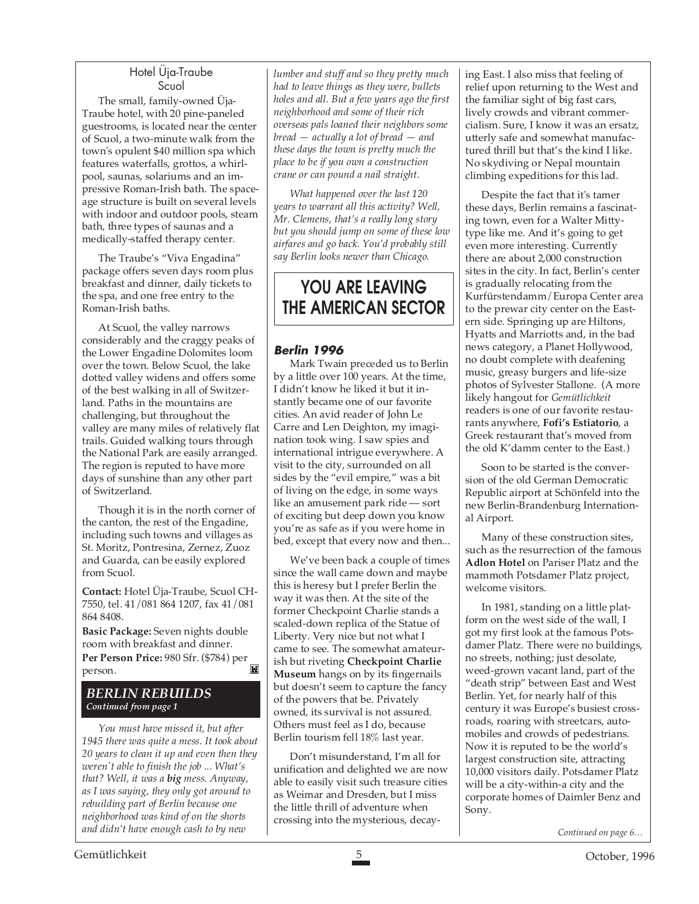#### Hotel Üja-Traube Scuol

The small, family-owned Üja-Traube hotel, with 20 pine-paneled guestrooms, is located near the center of Scuol, a two-minute walk from the town's opulent \$40 million spa which features waterfalls, grottos, a whirlpool, saunas, solariums and an impressive Roman-Irish bath. The spaceage structure is built on several levels with indoor and outdoor pools, steam bath, three types of saunas and a medically-staffed therapy center.

The Traube's "Viva Engadina" package offers seven days room plus breakfast and dinner, daily tickets to the spa, and one free entry to the Roman-Irish baths.

At Scuol, the valley narrows considerably and the craggy peaks of the Lower Engadine Dolomites loom over the town. Below Scuol, the lake dotted valley widens and offers some of the best walking in all of Switzerland. Paths in the mountains are challenging, but throughout the valley are many miles of relatively flat trails. Guided walking tours through the National Park are easily arranged. The region is reputed to have more days of sunshine than any other part of Switzerland.

Though it is in the north corner of the canton, the rest of the Engadine, including such towns and villages as St. Moritz, Pontresina, Zernez, Zuoz and Guarda, can be easily explored from Scuol.

**Contact:** Hotel Üja-Traube, Scuol CH-7550, tel. 41/081 864 1207, fax 41/081 864 8408.

**Basic Package:** Seven nights double room with breakfast and dinner. **Per Person Price:** 980 Sfr. (\$784) per M person.

#### *BERLIN REBUILDS Continued from page 1*

*You must have missed it, but after 1945 there was quite a mess. It took about 20 years to clean it up and even then they weren't able to finish the job ... What's that? Well, it was a big mess. Anyway, as I was saying, they only got around to rebuilding part of Berlin because one neighborhood was kind of on the shorts and didn't have enough cash to by new*

*lumber and stuff and so they pretty much had to leave things as they were, bullets holes and all. But a few years ago the first neighborhood and some of their rich overseas pals loaned their neighbors some bread — actually a lot of bread — and these days the town is pretty much the place to be if you own a construction crane or can pound a nail straight.*

*What happened over the last 120 years to warrant all this activity? Well, Mr. Clemens, that's a really long story but you should jump on some of these low airfares and go back. You'd probably still say Berlin looks newer than Chicago.*

### **YOU ARE LEAVING THE AMERICAN SECTOR**

#### **Berlin 1996**

Mark Twain preceded us to Berlin by a little over 100 years. At the time, I didn't know he liked it but it instantly became one of our favorite cities. An avid reader of John Le Carre and Len Deighton, my imagination took wing. I saw spies and international intrigue everywhere. A visit to the city, surrounded on all sides by the "evil empire," was a bit of living on the edge, in some ways like an amusement park ride — sort of exciting but deep down you know you're as safe as if you were home in bed, except that every now and then...

We've been back a couple of times since the wall came down and maybe this is heresy but I prefer Berlin the way it was then. At the site of the former Checkpoint Charlie stands a scaled-down replica of the Statue of Liberty. Very nice but not what I came to see. The somewhat amateurish but riveting **Checkpoint Charlie Museum** hangs on by its fingernails but doesn't seem to capture the fancy of the powers that be. Privately owned, its survival is not assured. Others must feel as I do, because Berlin tourism fell 18% last year.

Don't misunderstand, I'm all for unification and delighted we are now able to easily visit such treasure cities as Weimar and Dresden, but I miss the little thrill of adventure when crossing into the mysterious, decaying East. I also miss that feeling of relief upon returning to the West and the familiar sight of big fast cars, lively crowds and vibrant commercialism. Sure, I know it was an ersatz, utterly safe and somewhat manufactured thrill but that's the kind I like. No skydiving or Nepal mountain climbing expeditions for this lad.

Despite the fact that it's tamer these days, Berlin remains a fascinating town, even for a Walter Mittytype like me. And it's going to get even more interesting. Currently there are about 2,000 construction sites in the city. In fact, Berlin's center is gradually relocating from the Kurfürstendamm/Europa Center area to the prewar city center on the Eastern side. Springing up are Hiltons, Hyatts and Marriotts and, in the bad news category, a Planet Hollywood, no doubt complete with deafening music, greasy burgers and life-size photos of Sylvester Stallone. (A more likely hangout for *Gemütlichkeit* readers is one of our favorite restaurants anywhere, **Fofi's Estiatorio**, a Greek restaurant that's moved from the old K'damm center to the East.)

Soon to be started is the conversion of the old German Democratic Republic airport at Schönfeld into the new Berlin-Brandenburg International Airport.

Many of these construction sites, such as the resurrection of the famous **Adlon Hotel** on Pariser Platz and the mammoth Potsdamer Platz project, welcome visitors.

In 1981, standing on a little platform on the west side of the wall, I got my first look at the famous Potsdamer Platz. There were no buildings, no streets, nothing; just desolate, weed-grown vacant land, part of the "death strip" between East and West Berlin. Yet, for nearly half of this century it was Europe's busiest crossroads, roaring with streetcars, automobiles and crowds of pedestrians. Now it is reputed to be the world's largest construction site, attracting 10,000 visitors daily. Potsdamer Platz will be a city-within-a city and the corporate homes of Daimler Benz and Sony.

*Continued on page 6…*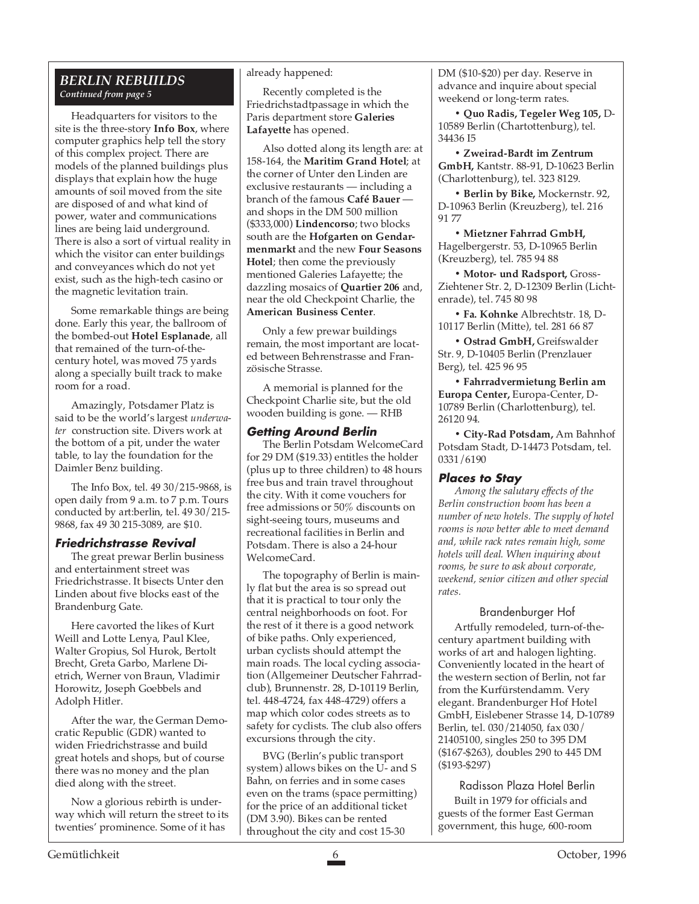#### *BERLIN REBUILDS Continued from page 5*

Headquarters for visitors to the site is the three-story **Info Box**, where computer graphics help tell the story of this complex project. There are models of the planned buildings plus displays that explain how the huge amounts of soil moved from the site are disposed of and what kind of power, water and communications lines are being laid underground. There is also a sort of virtual reality in which the visitor can enter buildings and conveyances which do not yet exist, such as the high-tech casino or the magnetic levitation train.

Some remarkable things are being done. Early this year, the ballroom of the bombed-out **Hotel Esplanade**, all that remained of the turn-of-thecentury hotel, was moved 75 yards along a specially built track to make room for a road.

Amazingly, Potsdamer Platz is said to be the world's largest *underwater* construction site. Divers work at the bottom of a pit, under the water table, to lay the foundation for the Daimler Benz building.

The Info Box, tel. 49 30/215-9868, is open daily from 9 a.m. to 7 p.m. Tours conducted by art:berlin, tel. 49 30/215- 9868, fax 49 30 215-3089, are \$10.

#### **Friedrichstrasse Revival**

The great prewar Berlin business and entertainment street was Friedrichstrasse. It bisects Unter den Linden about five blocks east of the Brandenburg Gate.

Here cavorted the likes of Kurt Weill and Lotte Lenya, Paul Klee, Walter Gropius, Sol Hurok, Bertolt Brecht, Greta Garbo, Marlene Dietrich, Werner von Braun, Vladimir Horowitz, Joseph Goebbels and Adolph Hitler.

After the war, the German Democratic Republic (GDR) wanted to widen Friedrichstrasse and build great hotels and shops, but of course there was no money and the plan died along with the street.

Now a glorious rebirth is underway which will return the street to its twenties' prominence. Some of it has

#### already happened:

Recently completed is the Friedrichstadtpassage in which the Paris department store **Galeries Lafayette** has opened.

Also dotted along its length are: at 158-164, the **Maritim Grand Hotel**; at the corner of Unter den Linden are exclusive restaurants — including a branch of the famous **Café Bauer** and shops in the DM 500 million (\$333,000) **Lindencorso**; two blocks south are the **Hofgarten on Gendarmenmarkt** and the new **Four Seasons Hotel**; then come the previously mentioned Galeries Lafayette; the dazzling mosaics of **Quartier 206** and, near the old Checkpoint Charlie, the **American Business Center**.

Only a few prewar buildings remain, the most important are located between Behrenstrasse and Französische Strasse.

A memorial is planned for the Checkpoint Charlie site, but the old wooden building is gone. — RHB

#### **Getting Around Berlin**

The Berlin Potsdam WelcomeCard for 29 DM (\$19.33) entitles the holder (plus up to three children) to 48 hours free bus and train travel throughout the city. With it come vouchers for free admissions or 50% discounts on sight-seeing tours, museums and recreational facilities in Berlin and Potsdam. There is also a 24-hour WelcomeCard.

The topography of Berlin is mainly flat but the area is so spread out that it is practical to tour only the central neighborhoods on foot. For the rest of it there is a good network of bike paths. Only experienced, urban cyclists should attempt the main roads. The local cycling association (Allgemeiner Deutscher Fahrradclub), Brunnenstr. 28, D-10119 Berlin, tel. 448-4724, fax 448-4729) offers a map which color codes streets as to safety for cyclists. The club also offers excursions through the city.

BVG (Berlin's public transport system) allows bikes on the U- and S Bahn, on ferries and in some cases even on the trams (space permitting) for the price of an additional ticket (DM 3.90). Bikes can be rented throughout the city and cost 15-30

DM (\$10-\$20) per day. Reserve in advance and inquire about special weekend or long-term rates.

**• Quo Radis, Tegeler Weg 105,** D-10589 Berlin (Chartottenburg), tel. 34436 I5

**• Zweirad-Bardt im Zentrum GmbH,** Kantstr. 88-91, D-10623 Berlin (Charlottenburg), tel. 323 8129.

**• Berlin by Bike,** Mockernstr. 92, D-10963 Berlin (Kreuzberg), tel. 216 91 77

**• Mietzner Fahrrad GmbH,** Hagelbergerstr. 53, D-10965 Berlin (Kreuzberg), tel. 785 94 88

**• Motor- und Radsport,** Gross-Ziehtener Str. 2, D-12309 Berlin (Lichtenrade), tel. 745 80 98

**• Fa. Kohnke** Albrechtstr. 18, D-10117 Berlin (Mitte), tel. 281 66 87

**• Ostrad GmbH,** Greifswalder Str. 9, D-10405 Berlin (Prenzlauer Berg), tel. 425 96 95

**• Fahrradvermietung Berlin am Europa Center,** Europa-Center, D-10789 Berlin (Charlottenburg), tel. 26120 94.

**• City-Rad Potsdam,** Am Bahnhof Potsdam Stadt, D-14473 Potsdam, tel. 0331/6190

#### **Places to Stay**

*Among the salutary effects of the Berlin construction boom has been a number of new hotels. The supply of hotel rooms is now better able to meet demand and, while rack rates remain high, some hotels will deal. When inquiring about rooms, be sure to ask about corporate, weekend, senior citizen and other special rates.*

#### Brandenburger Hof

Artfully remodeled, turn-of-thecentury apartment building with works of art and halogen lighting. Conveniently located in the heart of the western section of Berlin, not far from the Kurfürstendamm. Very elegant. Brandenburger Hof Hotel GmbH, Eislebener Strasse 14, D-10789 Berlin, tel. 030/214050, fax 030/ 21405100, singles 250 to 395 DM (\$167-\$263), doubles 290 to 445 DM (\$193-\$297)

Radisson Plaza Hotel Berlin Built in 1979 for officials and guests of the former East German government, this huge, 600-room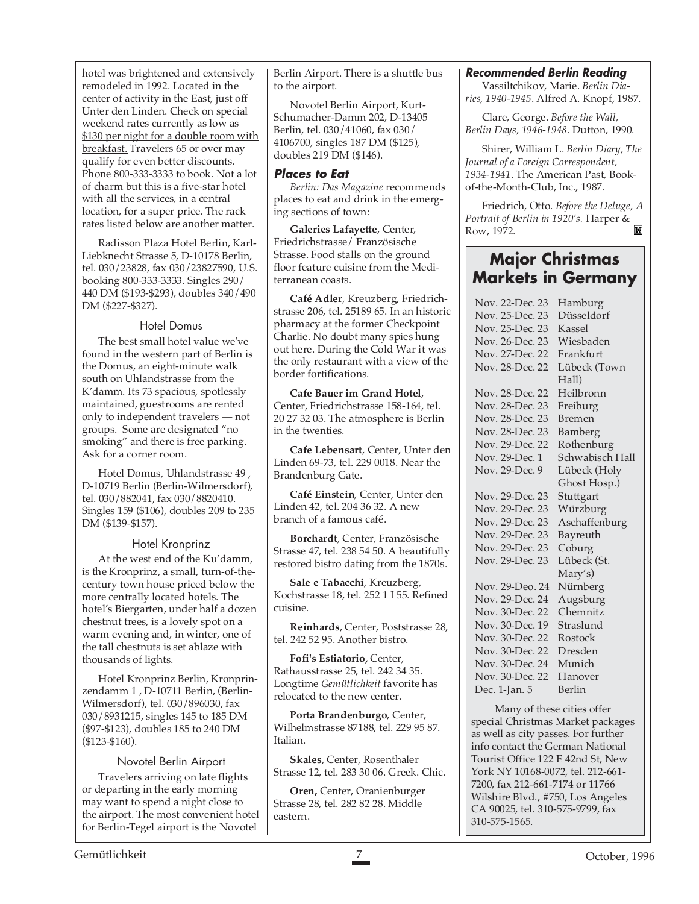hotel was brightened and extensively remodeled in 1992. Located in the center of activity in the East, just off Unter den Linden. Check on special weekend rates currently as low as \$130 per night for a double room with breakfast. Travelers 65 or over may qualify for even better discounts. Phone 800-333-3333 to book. Not a lot of charm but this is a five-star hotel with all the services, in a central location, for a super price. The rack rates listed below are another matter.

Radisson Plaza Hotel Berlin, Karl-Liebknecht Strasse 5, D-10178 Berlin, tel. 030/23828, fax 030/23827590, U.S. booking 800-333-3333. Singles 290/ 440 DM (\$193-\$293), doubles 340/490 DM (\$227-\$327).

#### Hotel Domus

The best small hotel value we've found in the western part of Berlin is the Domus, an eight-minute walk south on Uhlandstrasse from the K'damm. Its 73 spacious, spotlessly maintained, guestrooms are rented only to independent travelers — not groups. Some are designated "no smoking" and there is free parking. Ask for a corner room.

Hotel Domus, Uhlandstrasse 49 , D-10719 Berlin (Berlin-Wilmersdorf), tel. 030/882041, fax 030/8820410. Singles 159 (\$106), doubles 209 to 235 DM (\$139-\$157).

#### Hotel Kronprinz

At the west end of the Ku'damm, is the Kronprinz, a small, turn-of-thecentury town house priced below the more centrally located hotels. The hotel's Biergarten, under half a dozen chestnut trees, is a lovely spot on a warm evening and, in winter, one of the tall chestnuts is set ablaze with thousands of lights.

Hotel Kronprinz Berlin, Kronprinzendamm 1 , D-10711 Berlin, (Berlin-Wilmersdorf), tel. 030/896030, fax 030/8931215, singles 145 to 185 DM (\$97-\$123), doubles 185 to 240 DM (\$123-\$160).

#### Novotel Berlin Airport

Travelers arriving on late flights or departing in the early morning may want to spend a night close to the airport. The most convenient hotel for Berlin-Tegel airport is the Novotel

Berlin Airport. There is a shuttle bus to the airport.

Novotel Berlin Airport, Kurt-Schumacher-Damm 202, D-13405 Berlin, tel. 030/41060, fax 030/ 4106700, singles 187 DM (\$125), doubles 219 DM (\$146).

#### **Places to Eat**

*Berlin: Das Magazine* recommends places to eat and drink in the emerging sections of town:

**Galeries Lafayette**, Center, Friedrichstrasse/ Französische Strasse. Food stalls on the ground floor feature cuisine from the Mediterranean coasts.

**Café Adler**, Kreuzberg, Friedrichstrasse 206, tel. 25189 65. In an historic pharmacy at the former Checkpoint Charlie. No doubt many spies hung out here. During the Cold War it was the only restaurant with a view of the border fortifications.

**Cafe Bauer im Grand Hotel**, Center, Friedrichstrasse 158-164, tel. 20 27 32 03. The atmosphere is Berlin in the twenties.

**Cafe Lebensart**, Center, Unter den Linden 69-73, tel. 229 0018. Near the Brandenburg Gate.

**Café Einstein**, Center, Unter den Linden 42, tel. 204 36 32. A new branch of a famous café.

**Borchardt**, Center, Französische Strasse 47, tel. 238 54 50. A beautifully restored bistro dating from the 1870s.

**Sale e Tabacchi**, Kreuzberg, Kochstrasse 18, tel. 252 1 I 55. Refined cuisine.

**Reinhards**, Center, Poststrasse 28, tel. 242 52 95. Another bistro.

**Fofi's Estiatorio,** Center, Rathausstrasse 25, tel. 242 34 35. Longtime *Gemütlichkeit* favorite has relocated to the new center.

**Porta Brandenburgo**, Center, Wilhelmstrasse 87188, tel. 229 95 87. Italian.

**Skales**, Center, Rosenthaler Strasse 12, tel. 283 30 06. Greek. Chic.

**Oren,** Center, Oranienburger Strasse 28, tel. 282 82 28. Middle eastern.

#### **Recommended Berlin Reading**

Vassiltchikov, Marie. *Berlin Diaries, 1940-1945*. Alfred A. Knopf, 1987.

Clare, George. *Before the Wall, Berlin Days, 1946-1948*. Dutton, 1990.

Shirer, William L. *Berlin Diary, The Journal of a Foreign Correspondent, 1934-1941*. The American Past, Bookof-the-Month-Club, Inc., 1987.

Friedrich, Otto. *Before the Deluge, A Portrait of Berlin in 1920's.* Harper & Row, 1972.

#### **Major Christmas Markets in Germany**

| Nov. 22-Dec. 23 | Hamburg         |
|-----------------|-----------------|
| Nov. 25-Dec. 23 | Düsseldorf      |
| Nov. 25-Dec. 23 | Kassel          |
| Nov. 26-Dec. 23 | Wiesbaden       |
| Nov. 27-Dec. 22 | Frankfurt       |
| Nov. 28-Dec. 22 | Lübeck (Town    |
|                 | Hall)           |
| Nov. 28-Dec. 22 | Heilbronn       |
| Nov. 28-Dec. 23 | Freiburg        |
| Nov. 28-Dec. 23 | <b>Bremen</b>   |
| Nov. 28-Dec. 23 | Bamberg         |
| Nov. 29-Dec. 22 | Rothenburg      |
| Nov. 29-Dec. 1  | Schwabisch Hall |
| Nov. 29-Dec. 9  | Lübeck (Holy    |
|                 | Ghost Hosp.)    |
| Nov. 29-Dec. 23 | Stuttgart       |
| Nov. 29-Dec. 23 | Würzburg        |
| Nov. 29-Dec. 23 | Aschaffenburg   |
| Nov. 29-Dec. 23 | Bayreuth        |
| Nov. 29-Dec. 23 | Coburg          |
| Nov. 29-Dec. 23 | Lübeck (St.     |
|                 | Mary's)         |
| Nov. 29-Deo. 24 | Nürnberg        |
| Nov. 29-Dec. 24 | Augsburg        |
| Nov. 30-Dec. 22 | Chemnitz        |
| Nov. 30-Dec. 19 | Straslund       |
| Nov. 30-Dec. 22 | Rostock         |
| Nov. 30-Dec. 22 | Dresden         |
| Nov. 30-Dec. 24 | Munich          |
| Nov. 30-Dec. 22 | Hanover         |
| Dec. 1-Jan. 5   | Berlin          |
|                 |                 |

 Many of these cities offer special Christmas Market packages as well as city passes. For further info contact the German National Tourist Office 122 E 42nd St, New York NY 10168-0072, tel. 212-661- 7200, fax 212-661-7174 or 11766 Wilshire Blvd., #750, Los Angeles CA 90025, tel. 310-575-9799, fax 310-575-1565.